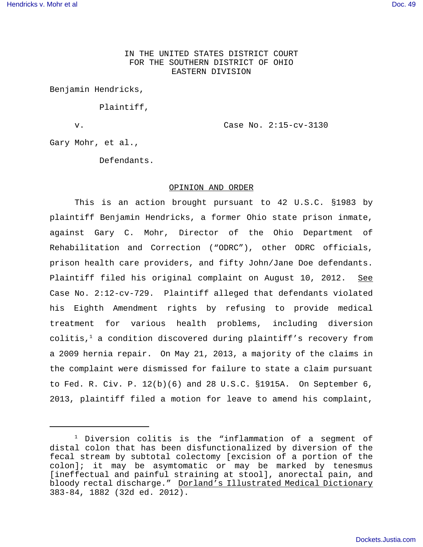IN THE UNITED STATES DISTRICT COURT FOR THE SOUTHERN DISTRICT OF OHIO EASTERN DIVISION

Benjamin Hendricks,

Plaintiff,

v. Case No. 2:15-cv-3130

Gary Mohr, et al.,

Defendants.

#### OPINION AND ORDER

This is an action brought pursuant to 42 U.S.C. §1983 by plaintiff Benjamin Hendricks, a former Ohio state prison inmate, against Gary C. Mohr, Director of the Ohio Department of Rehabilitation and Correction ("ODRC"), other ODRC officials, prison health care providers, and fifty John/Jane Doe defendants. Plaintiff filed his original complaint on August 10, 2012. See Case No. 2:12-cv-729. Plaintiff alleged that defendants violated his Eighth Amendment rights by refusing to provide medical treatment for various health problems, including diversion colitis, $1$  a condition discovered during plaintiff's recovery from a 2009 hernia repair. On May 21, 2013, a majority of the claims in the complaint were dismissed for failure to state a claim pursuant to Fed. R. Civ. P. 12(b)(6) and 28 U.S.C. §1915A. On September 6, 2013, plaintiff filed a motion for leave to amend his complaint,

<sup>&</sup>lt;sup>1</sup> Diversion colitis is the "inflammation of a segment of distal colon that has been disfunctionalized by diversion of the fecal stream by subtotal colectomy [excision of a portion of the colon]; it may be asymtomatic or may be marked by tenesmus [ineffectual and painful straining at stool], anorectal pain, and bloody rectal discharge." Dorland's Illustrated Medical Dictionary 383-84, 1882 (32d ed. 2012).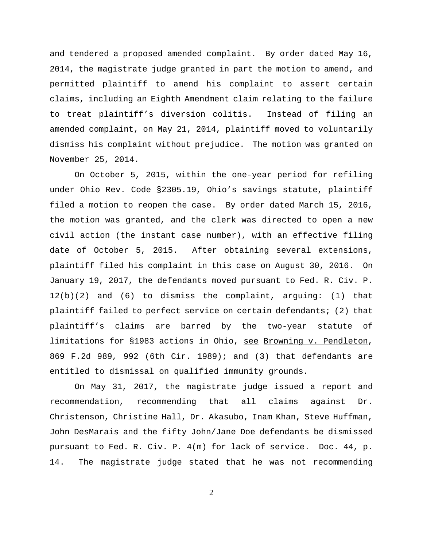and tendered a proposed amended complaint. By order dated May 16, 2014, the magistrate judge granted in part the motion to amend, and permitted plaintiff to amend his complaint to assert certain claims, including an Eighth Amendment claim relating to the failure to treat plaintiff's diversion colitis. Instead of filing an amended complaint, on May 21, 2014, plaintiff moved to voluntarily dismiss his complaint without prejudice. The motion was granted on November 25, 2014.

On October 5, 2015, within the one-year period for refiling under Ohio Rev. Code §2305.19, Ohio's savings statute, plaintiff filed a motion to reopen the case. By order dated March 15, 2016, the motion was granted, and the clerk was directed to open a new civil action (the instant case number), with an effective filing date of October 5, 2015. After obtaining several extensions, plaintiff filed his complaint in this case on August 30, 2016. On January 19, 2017, the defendants moved pursuant to Fed. R. Civ. P. 12(b)(2) and (6) to dismiss the complaint, arguing: (1) that plaintiff failed to perfect service on certain defendants; (2) that plaintiff's claims are barred by the two-year statute of limitations for §1983 actions in Ohio, see Browning v. Pendleton, 869 F.2d 989, 992 (6th Cir. 1989); and (3) that defendants are entitled to dismissal on qualified immunity grounds.

On May 31, 2017, the magistrate judge issued a report and recommendation, recommending that all claims against Dr. Christenson, Christine Hall, Dr. Akasubo, Inam Khan, Steve Huffman, John DesMarais and the fifty John/Jane Doe defendants be dismissed pursuant to Fed. R. Civ. P. 4(m) for lack of service. Doc. 44, p. 14. The magistrate judge stated that he was not recommending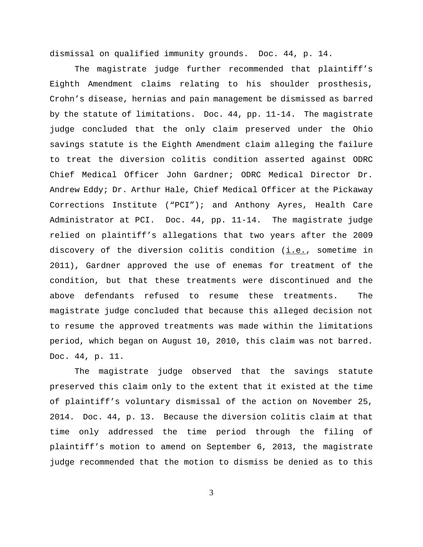dismissal on qualified immunity grounds. Doc. 44, p. 14.

The magistrate judge further recommended that plaintiff's Eighth Amendment claims relating to his shoulder prosthesis, Crohn's disease, hernias and pain management be dismissed as barred by the statute of limitations. Doc. 44, pp. 11-14. The magistrate judge concluded that the only claim preserved under the Ohio savings statute is the Eighth Amendment claim alleging the failure to treat the diversion colitis condition asserted against ODRC Chief Medical Officer John Gardner; ODRC Medical Director Dr. Andrew Eddy; Dr. Arthur Hale, Chief Medical Officer at the Pickaway Corrections Institute ("PCI"); and Anthony Ayres, Health Care Administrator at PCI. Doc. 44, pp. 11-14. The magistrate judge relied on plaintiff's allegations that two years after the 2009 discovery of the diversion colitis condition  $(i.e.,$  sometime in 2011), Gardner approved the use of enemas for treatment of the condition, but that these treatments were discontinued and the above defendants refused to resume these treatments. The magistrate judge concluded that because this alleged decision not to resume the approved treatments was made within the limitations period, which began on August 10, 2010, this claim was not barred. Doc. 44, p. 11.

The magistrate judge observed that the savings statute preserved this claim only to the extent that it existed at the time of plaintiff's voluntary dismissal of the action on November 25, 2014. Doc. 44, p. 13. Because the diversion colitis claim at that time only addressed the time period through the filing of plaintiff's motion to amend on September 6, 2013, the magistrate judge recommended that the motion to dismiss be denied as to this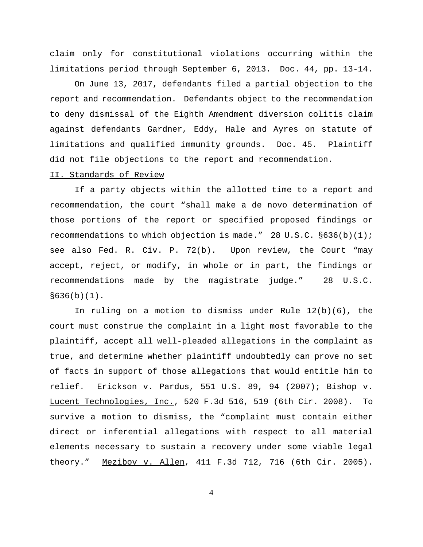claim only for constitutional violations occurring within the limitations period through September 6, 2013. Doc. 44, pp. 13-14.

On June 13, 2017, defendants filed a partial objection to the report and recommendation. Defendants object to the recommendation to deny dismissal of the Eighth Amendment diversion colitis claim against defendants Gardner, Eddy, Hale and Ayres on statute of limitations and qualified immunity grounds. Doc. 45. Plaintiff did not file objections to the report and recommendation.

## II. Standards of Review

If a party objects within the allotted time to a report and recommendation, the court "shall make a de novo determination of those portions of the report or specified proposed findings or recommendations to which objection is made." 28 U.S.C. §636(b)(1); see also Fed. R. Civ. P. 72(b). Upon review, the Court "may accept, reject, or modify, in whole or in part, the findings or recommendations made by the magistrate judge." 28 U.S.C.  $§636(b)(1)$ .

In ruling on a motion to dismiss under Rule 12(b)(6), the court must construe the complaint in a light most favorable to the plaintiff, accept all well-pleaded allegations in the complaint as true, and determine whether plaintiff undoubtedly can prove no set of facts in support of those allegations that would entitle him to relief. Erickson v. Pardus, 551 U.S. 89, 94 (2007); Bishop v. Lucent Technologies, Inc., 520 F.3d 516, 519 (6th Cir. 2008). To survive a motion to dismiss, the "complaint must contain either direct or inferential allegations with respect to all material elements necessary to sustain a recovery under some viable legal theory." Mezibov v. Allen, 411 F.3d 712, 716 (6th Cir. 2005).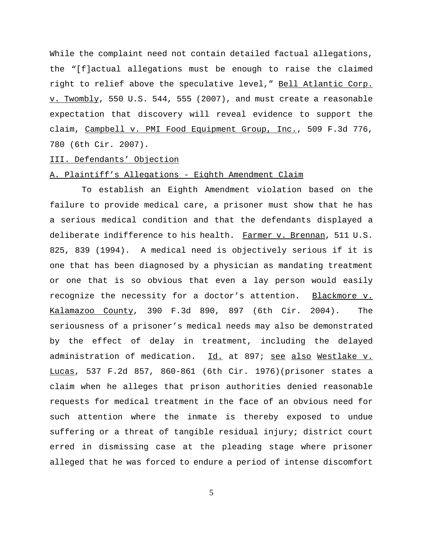While the complaint need not contain detailed factual allegations, the "[f]actual allegations must be enough to raise the claimed right to relief above the speculative level," Bell Atlantic Corp. v. Twombly, 550 U.S. 544, 555 (2007), and must create a reasonable expectation that discovery will reveal evidence to support the claim, Campbell v. PMI Food Equipment Group, Inc., 509 F.3d 776, 780 (6th Cir. 2007).

# III. Defendants' Objection

## A. Plaintiff's Allegations - Eighth Amendment Claim

 To establish an Eighth Amendment violation based on the failure to provide medical care, a prisoner must show that he has a serious medical condition and that the defendants displayed a deliberate indifference to his health. Farmer v. Brennan, 511 U.S. 825, 839 (1994). A medical need is objectively serious if it is one that has been diagnosed by a physician as mandating treatment or one that is so obvious that even a lay person would easily recognize the necessity for a doctor's attention. Blackmore v. Kalamazoo County, 390 F.3d 890, 897 (6th Cir. 2004). The seriousness of a prisoner's medical needs may also be demonstrated by the effect of delay in treatment, including the delayed administration of medication. Id. at 897; see also Westlake v. Lucas, 537 F.2d 857, 860-861 (6th Cir. 1976)(prisoner states a claim when he alleges that prison authorities denied reasonable requests for medical treatment in the face of an obvious need for such attention where the inmate is thereby exposed to undue suffering or a threat of tangible residual injury; district court erred in dismissing case at the pleading stage where prisoner alleged that he was forced to endure a period of intense discomfort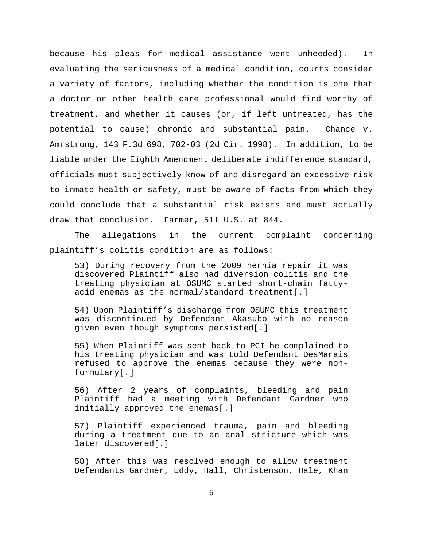because his pleas for medical assistance went unheeded). In evaluating the seriousness of a medical condition, courts consider a variety of factors, including whether the condition is one that a doctor or other health care professional would find worthy of treatment, and whether it causes (or, if left untreated, has the potential to cause) chronic and substantial pain. Chance v. Amrstrong, 143 F.3d 698, 702-03 (2d Cir. 1998). In addition, to be liable under the Eighth Amendment deliberate indifference standard, officials must subjectively know of and disregard an excessive risk to inmate health or safety, must be aware of facts from which they could conclude that a substantial risk exists and must actually draw that conclusion. Farmer, 511 U.S. at 844.

The allegations in the current complaint concerning plaintiff's colitis condition are as follows:

53) During recovery from the 2009 hernia repair it was discovered Plaintiff also had diversion colitis and the treating physician at OSUMC started short-chain fattyacid enemas as the normal/standard treatment[.]

54) Upon Plaintiff's discharge from OSUMC this treatment was discontinued by Defendant Akasubo with no reason given even though symptoms persisted[.]

55) When Plaintiff was sent back to PCI he complained to his treating physician and was told Defendant DesMarais refused to approve the enemas because they were nonformulary[.]

56) After 2 years of complaints, bleeding and pain Plaintiff had a meeting with Defendant Gardner who initially approved the enemas[.]

57) Plaintiff experienced trauma, pain and bleeding during a treatment due to an anal stricture which was later discovered[.]

58) After this was resolved enough to allow treatment Defendants Gardner, Eddy, Hall, Christenson, Hale, Khan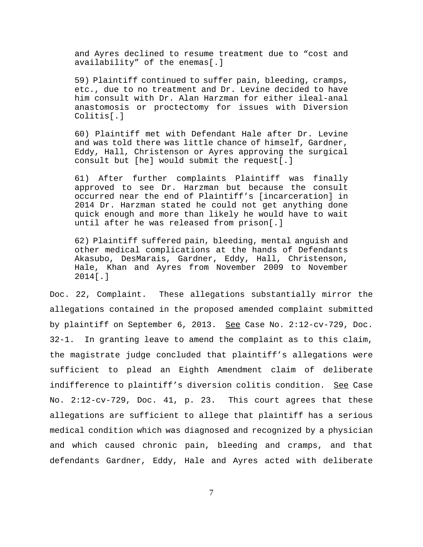and Ayres declined to resume treatment due to "cost and availability" of the enemas[.]

59) Plaintiff continued to suffer pain, bleeding, cramps, etc., due to no treatment and Dr. Levine decided to have him consult with Dr. Alan Harzman for either ileal-anal anastomosis or proctectomy for issues with Diversion Colitis[.]

60) Plaintiff met with Defendant Hale after Dr. Levine and was told there was little chance of himself, Gardner, Eddy, Hall, Christenson or Ayres approving the surgical consult but [he] would submit the request[.]

61) After further complaints Plaintiff was finally approved to see Dr. Harzman but because the consult occurred near the end of Plaintiff's [incarceration] in 2014 Dr. Harzman stated he could not get anything done quick enough and more than likely he would have to wait until after he was released from prison[.]

62) Plaintiff suffered pain, bleeding, mental anguish and other medical complications at the hands of Defendants Akasubo, DesMarais, Gardner, Eddy, Hall, Christenson, Hale, Khan and Ayres from November 2009 to November 2014[.]

Doc. 22, Complaint. These allegations substantially mirror the allegations contained in the proposed amended complaint submitted by plaintiff on September 6, 2013. See Case No. 2:12-cv-729, Doc. 32-1. In granting leave to amend the complaint as to this claim, the magistrate judge concluded that plaintiff's allegations were sufficient to plead an Eighth Amendment claim of deliberate indifference to plaintiff's diversion colitis condition. See Case No. 2:12-cv-729, Doc. 41, p. 23. This court agrees that these allegations are sufficient to allege that plaintiff has a serious medical condition which was diagnosed and recognized by a physician and which caused chronic pain, bleeding and cramps, and that defendants Gardner, Eddy, Hale and Ayres acted with deliberate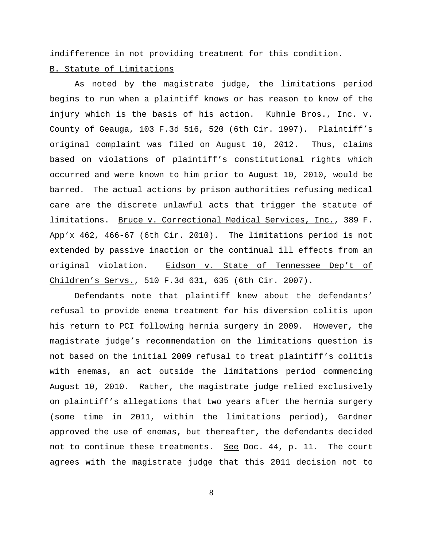indifference in not providing treatment for this condition.

# B. Statute of Limitations

As noted by the magistrate judge, the limitations period begins to run when a plaintiff knows or has reason to know of the injury which is the basis of his action. Kuhnle Bros., Inc. v. County of Geauga, 103 F.3d 516, 520 (6th Cir. 1997). Plaintiff's original complaint was filed on August 10, 2012. Thus, claims based on violations of plaintiff's constitutional rights which occurred and were known to him prior to August 10, 2010, would be barred. The actual actions by prison authorities refusing medical care are the discrete unlawful acts that trigger the statute of limitations. Bruce v. Correctional Medical Services, Inc., 389 F. App'x 462, 466-67 (6th Cir. 2010). The limitations period is not extended by passive inaction or the continual ill effects from an original violation. Eidson v. State of Tennessee Dep't of Children's Servs., 510 F.3d 631, 635 (6th Cir. 2007).

Defendants note that plaintiff knew about the defendants' refusal to provide enema treatment for his diversion colitis upon his return to PCI following hernia surgery in 2009. However, the magistrate judge's recommendation on the limitations question is not based on the initial 2009 refusal to treat plaintiff's colitis with enemas, an act outside the limitations period commencing August 10, 2010. Rather, the magistrate judge relied exclusively on plaintiff's allegations that two years after the hernia surgery (some time in 2011, within the limitations period), Gardner approved the use of enemas, but thereafter, the defendants decided not to continue these treatments. See Doc. 44, p. 11. The court agrees with the magistrate judge that this 2011 decision not to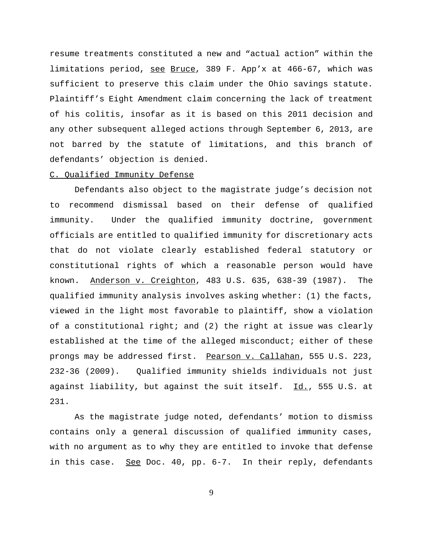resume treatments constituted a new and "actual action" within the limitations period, see Bruce, 389 F. App'x at 466-67, which was sufficient to preserve this claim under the Ohio savings statute. Plaintiff's Eight Amendment claim concerning the lack of treatment of his colitis, insofar as it is based on this 2011 decision and any other subsequent alleged actions through September 6, 2013, are not barred by the statute of limitations, and this branch of defendants' objection is denied.

### C. Qualified Immunity Defense

Defendants also object to the magistrate judge's decision not to recommend dismissal based on their defense of qualified immunity. Under the qualified immunity doctrine, government officials are entitled to qualified immunity for discretionary acts that do not violate clearly established federal statutory or constitutional rights of which a reasonable person would have known. Anderson v. Creighton, 483 U.S. 635, 638-39 (1987). The qualified immunity analysis involves asking whether: (1) the facts, viewed in the light most favorable to plaintiff, show a violation of a constitutional right; and  $(2)$  the right at issue was clearly established at the time of the alleged misconduct; either of these prongs may be addressed first. Pearson v. Callahan, 555 U.S. 223, 232-36 (2009). Qualified immunity shields individuals not just against liability, but against the suit itself. Id., 555 U.S. at 231.

As the magistrate judge noted, defendants' motion to dismiss contains only a general discussion of qualified immunity cases, with no argument as to why they are entitled to invoke that defense in this case. See Doc. 40, pp. 6-7. In their reply, defendants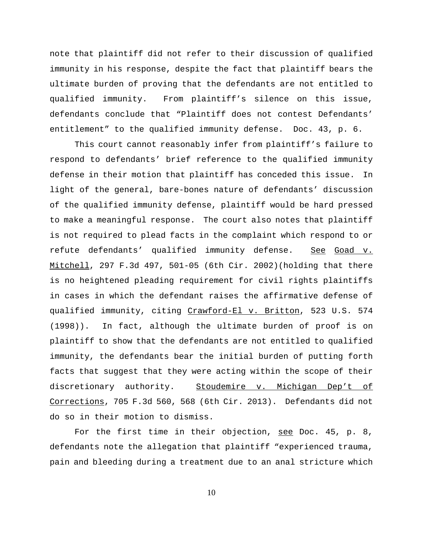note that plaintiff did not refer to their discussion of qualified immunity in his response, despite the fact that plaintiff bears the ultimate burden of proving that the defendants are not entitled to qualified immunity. From plaintiff's silence on this issue, defendants conclude that "Plaintiff does not contest Defendants' entitlement" to the qualified immunity defense. Doc. 43, p. 6.

This court cannot reasonably infer from plaintiff's failure to respond to defendants' brief reference to the qualified immunity defense in their motion that plaintiff has conceded this issue. In light of the general, bare-bones nature of defendants' discussion of the qualified immunity defense, plaintiff would be hard pressed to make a meaningful response. The court also notes that plaintiff is not required to plead facts in the complaint which respond to or refute defendants' qualified immunity defense. See Goad v. Mitchell, 297 F.3d 497, 501-05 (6th Cir. 2002)(holding that there is no heightened pleading requirement for civil rights plaintiffs in cases in which the defendant raises the affirmative defense of qualified immunity, citing Crawford-El v. Britton, 523 U.S. 574 (1998)). In fact, although the ultimate burden of proof is on plaintiff to show that the defendants are not entitled to qualified immunity, the defendants bear the initial burden of putting forth facts that suggest that they were acting within the scope of their discretionary authority. Stoudemire v. Michigan Dep't of Corrections, 705 F.3d 560, 568 (6th Cir. 2013). Defendants did not do so in their motion to dismiss.

For the first time in their objection, see Doc. 45, p. 8, defendants note the allegation that plaintiff "experienced trauma, pain and bleeding during a treatment due to an anal stricture which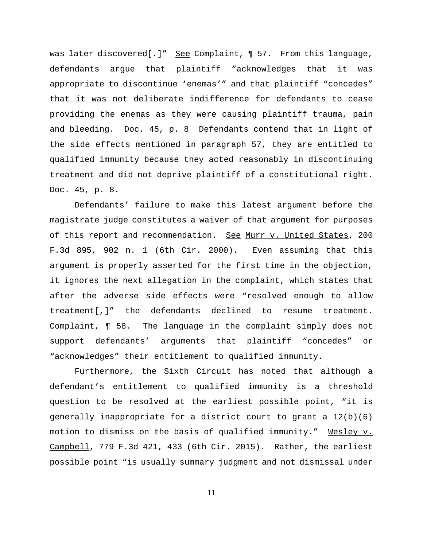was later discovered[.]" See Complaint, 1 57. From this language, defendants argue that plaintiff "acknowledges that it was appropriate to discontinue 'enemas'" and that plaintiff "concedes" that it was not deliberate indifference for defendants to cease providing the enemas as they were causing plaintiff trauma, pain and bleeding. Doc. 45, p. 8 Defendants contend that in light of the side effects mentioned in paragraph 57, they are entitled to qualified immunity because they acted reasonably in discontinuing treatment and did not deprive plaintiff of a constitutional right. Doc. 45, p. 8.

Defendants' failure to make this latest argument before the magistrate judge constitutes a waiver of that argument for purposes of this report and recommendation. See Murr v. United States, 200 F.3d 895, 902 n. 1 (6th Cir. 2000). Even assuming that this argument is properly asserted for the first time in the objection, it ignores the next allegation in the complaint, which states that after the adverse side effects were "resolved enough to allow treatment[,]" the defendants declined to resume treatment. Complaint, ¶ 58. The language in the complaint simply does not support defendants' arguments that plaintiff "concedes" or "acknowledges" their entitlement to qualified immunity.

Furthermore, the Sixth Circuit has noted that although a defendant's entitlement to qualified immunity is a threshold question to be resolved at the earliest possible point, "it is generally inappropriate for a district court to grant a 12(b)(6) motion to dismiss on the basis of qualified immunity." Wesley v. Campbell, 779 F.3d 421, 433 (6th Cir. 2015). Rather, the earliest possible point "is usually summary judgment and not dismissal under